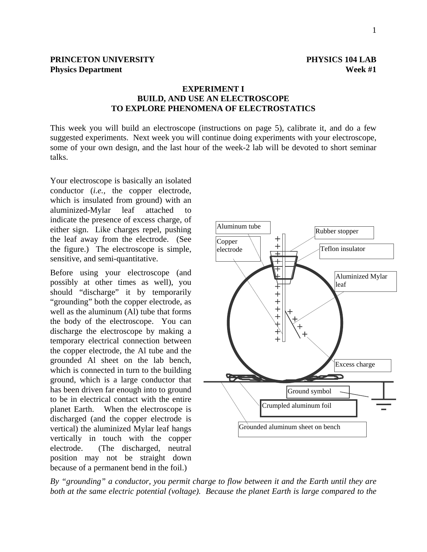## **EXPERIMENT I BUILD, AND USE AN ELECTROSCOPE TO EXPLORE PHENOMENA OF ELECTROSTATICS**

This week you will build an electroscope (instructions on page 5), calibrate it, and do a few suggested experiments. Next week you will continue doing experiments with your electroscope, some of your own design, and the last hour of the week-2 lab will be devoted to short seminar talks.

Your electroscope is basically an isolated conductor (*i.e.,* the copper electrode, which is insulated from ground) with an aluminized-Mylar leaf attached to indicate the presence of excess charge, of either sign. Like charges repel, pushing the leaf away from the electrode. (See the figure.) The electroscope is simple, sensitive, and semi-quantitative.

Before using your electroscope (and possibly at other times as well), you should "discharge" it by temporarily "grounding" both the copper electrode, as well as the aluminum (Al) tube that forms the body of the electroscope. You can discharge the electroscope by making a temporary electrical connection between the copper electrode, the Al tube and the grounded Al sheet on the lab bench, which is connected in turn to the building ground, which is a large conductor that has been driven far enough into to ground to be in electrical contact with the entire planet Earth. When the electroscope is discharged (and the copper electrode is vertical) the aluminized Mylar leaf hangs vertically in touch with the copper electrode. (The discharged, neutral position may not be straight down because of a permanent bend in the foil.)



*By "grounding" a conductor, you permit charge to flow between it and the Earth until they are both at the same electric potential (voltage). Because the planet Earth is large compared to the*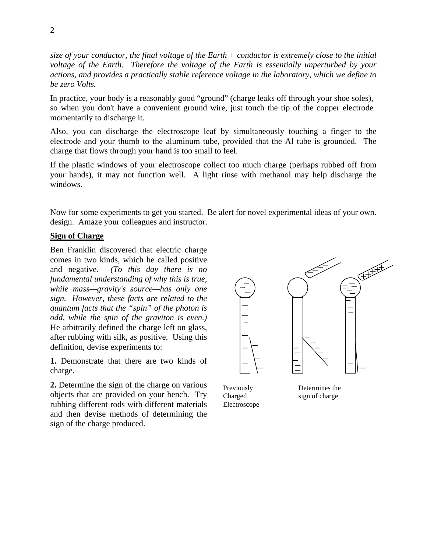*size of your conductor, the final voltage of the Earth + conductor is extremely close to the initial voltage of the Earth. Therefore the voltage of the Earth is essentially unperturbed by your actions, and provides a practically stable reference voltage in the laboratory, which we define to be zero Volts.* 

In practice, your body is a reasonably good "ground" (charge leaks off through your shoe soles), so when you don't have a convenient ground wire, just touch the tip of the copper electrode momentarily to discharge it.

Also, you can discharge the electroscope leaf by simultaneously touching a finger to the electrode and your thumb to the aluminum tube, provided that the Al tube is grounded. The charge that flows through your hand is too small to feel.

If the plastic windows of your electroscope collect too much charge (perhaps rubbed off from your hands), it may not function well. A light rinse with methanol may help discharge the windows.

Now for some experiments to get you started. Be alert for novel experimental ideas of your own. design. Amaze your colleagues and instructor.

#### **Sign of Charge**

Ben Franklin discovered that electric charge comes in two kinds, which he called positive and negative. *(To this day there is no fundamental understanding of why this is true, while mass—gravity's source—has only one sign. However, these facts are related to the quantum facts that the "spin" of the photon is odd, while the spin of the graviton is even.)* He arbitrarily defined the charge left on glass, after rubbing with silk, as positive. Using this definition, devise experiments to:

**1.** Demonstrate that there are two kinds of charge.

**2.** Determine the sign of the charge on various objects that are provided on your bench. Try rubbing different rods with different materials and then devise methods of determining the sign of the charge produced.



Previously Charged Electroscope

Determines the sign of charge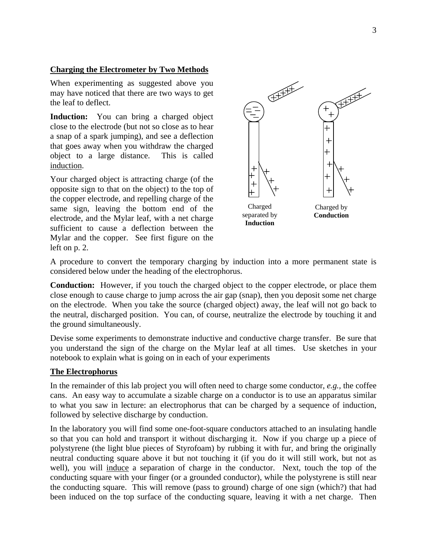## **Charging the Electrometer by Two Methods**

When experimenting as suggested above you may have noticed that there are two ways to get the leaf to deflect.

**Induction:** You can bring a charged object close to the electrode (but not so close as to hear a snap of a spark jumping), and see a deflection that goes away when you withdraw the charged object to a large distance. This is called induction.

Your charged object is attracting charge (of the opposite sign to that on the object) to the top of the copper electrode, and repelling charge of the same sign, leaving the bottom end of the electrode, and the Mylar leaf, with a net charge sufficient to cause a deflection between the Mylar and the copper. See first figure on the left on p. 2.



A procedure to convert the temporary charging by induction into a more permanent state is considered below under the heading of the electrophorus.

**Conduction:** However, if you touch the charged object to the copper electrode, or place them close enough to cause charge to jump across the air gap (snap), then you deposit some net charge on the electrode. When you take the source (charged object) away, the leaf will not go back to the neutral, discharged position. You can, of course, neutralize the electrode by touching it and the ground simultaneously.

Devise some experiments to demonstrate inductive and conductive charge transfer. Be sure that you understand the sign of the charge on the Mylar leaf at all times. Use sketches in your notebook to explain what is going on in each of your experiments

## **The Electrophorus**

In the remainder of this lab project you will often need to charge some conductor, *e.g.,* the coffee cans. An easy way to accumulate a sizable charge on a conductor is to use an apparatus similar to what you saw in lecture: an electrophorus that can be charged by a sequence of induction, followed by selective discharge by conduction.

In the laboratory you will find some one-foot-square conductors attached to an insulating handle so that you can hold and transport it without discharging it. Now if you charge up a piece of polystyrene (the light blue pieces of Styrofoam) by rubbing it with fur, and bring the originally neutral conducting square above it but not touching it (if you do it will still work, but not as well), you will induce a separation of charge in the conductor. Next, touch the top of the conducting square with your finger (or a grounded conductor), while the polystyrene is still near the conducting square. This will remove (pass to ground) charge of one sign (which?) that had been induced on the top surface of the conducting square, leaving it with a net charge. Then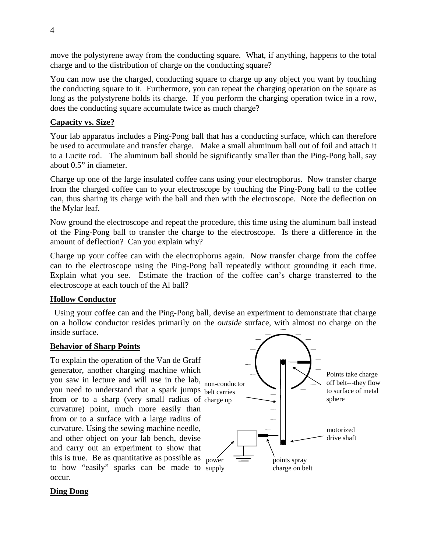move the polystyrene away from the conducting square. What, if anything, happens to the total charge and to the distribution of charge on the conducting square?

You can now use the charged, conducting square to charge up any object you want by touching the conducting square to it. Furthermore, you can repeat the charging operation on the square as long as the polystyrene holds its charge. If you perform the charging operation twice in a row, does the conducting square accumulate twice as much charge?

## **Capacity vs. Size?**

Your lab apparatus includes a Ping-Pong ball that has a conducting surface, which can therefore be used to accumulate and transfer charge. Make a small aluminum ball out of foil and attach it to a Lucite rod. The aluminum ball should be significantly smaller than the Ping-Pong ball, say about 0.5" in diameter.

Charge up one of the large insulated coffee cans using your electrophorus. Now transfer charge from the charged coffee can to your electroscope by touching the Ping-Pong ball to the coffee can, thus sharing its charge with the ball and then with the electroscope. Note the deflection on the Mylar leaf.

Now ground the electroscope and repeat the procedure, this time using the aluminum ball instead of the Ping-Pong ball to transfer the charge to the electroscope. Is there a difference in the amount of deflection? Can you explain why?

Charge up your coffee can with the electrophorus again. Now transfer charge from the coffee can to the electroscope using the Ping-Pong ball repeatedly without grounding it each time. Explain what you see. Estimate the fraction of the coffee can's charge transferred to the electroscope at each touch of the Al ball?

## **Hollow Conductor**

Using your coffee can and the Ping-Pong ball, devise an experiment to demonstrate that charge on a hollow conductor resides primarily on the *outside* surface, with almost no charge on the inside surface.

## **Behavior of Sharp Points**

To explain the operation of the Van de Graff generator, another charging machine which you saw in lecture and will use in the lab, non-conductor you need to understand that a spark jumps belt carries from or to a sharp (very small radius of charge up curvature) point, much more easily than from or to a surface with a large radius of curvature. Using the sewing machine needle, and other object on your lab bench, devise and carry out an experiment to show that this is true. Be as quantitative as possible as  $_{\text{power}}$ to how "easily" sparks can be made to supply occur.



## **Ding Dong**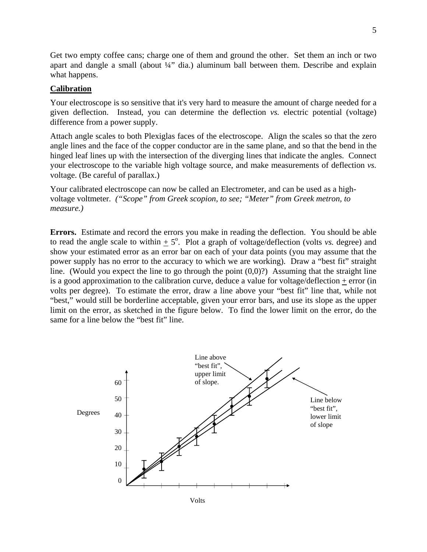Get two empty coffee cans; charge one of them and ground the other. Set them an inch or two apart and dangle a small (about  $\frac{1}{4}$ " dia.) aluminum ball between them. Describe and explain what happens.

#### **Calibration**

Your electroscope is so sensitive that it's very hard to measure the amount of charge needed for a given deflection. Instead, you can determine the deflection *vs.* electric potential (voltage) difference from a power supply.

Attach angle scales to both Plexiglas faces of the electroscope. Align the scales so that the zero angle lines and the face of the copper conductor are in the same plane, and so that the bend in the hinged leaf lines up with the intersection of the diverging lines that indicate the angles. Connect your electroscope to the variable high voltage source, and make measurements of deflection *vs.* voltage. (Be careful of parallax.)

Your calibrated electroscope can now be called an Electrometer, and can be used as a highvoltage voltmeter*. ("Scope" from Greek scopion, to see; "Meter" from Greek metron, to measure.)*

**Errors.** Estimate and record the errors you make in reading the deflection. You should be able to read the angle scale to within  $\pm$  5°. Plot a graph of voltage/deflection (volts *vs.* degree) and show your estimated error as an error bar on each of your data points (you may assume that the power supply has no error to the accuracy to which we are working). Draw a "best fit" straight line. (Would you expect the line to go through the point  $(0,0)$ ?) Assuming that the straight line is a good approximation to the calibration curve, deduce a value for voltage/deflection  $+$  error (in volts per degree). To estimate the error, draw a line above your "best fit" line that, while not "best," would still be borderline acceptable, given your error bars, and use its slope as the upper limit on the error, as sketched in the figure below. To find the lower limit on the error, do the same for a line below the "best fit" line.

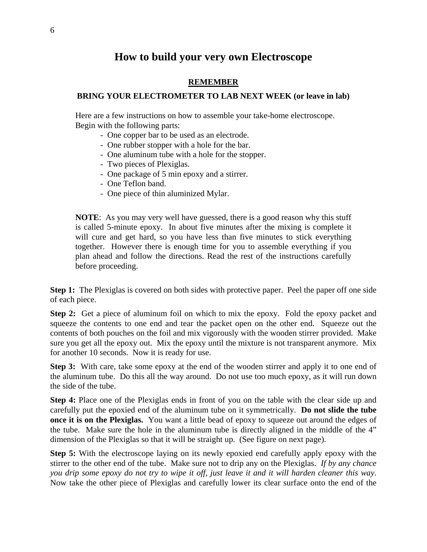# **How to build your very own Electroscope**

## **REMEMBER**

## **BRING YOUR ELECTROMETER TO LAB NEXT WEEK (or leave in lab)**

Here are a few instructions on how to assemble your take-home electroscope. Begin with the following parts:

- One copper bar to be used as an electrode.
- One rubber stopper with a hole for the bar.
- One aluminum tube with a hole for the stopper.
- Two pieces of Plexiglas.
- One package of 5 min epoxy and a stirrer.
- One Teflon band.
- One piece of thin aluminized Mylar.

**NOTE**: As you may very well have guessed, there is a good reason why this stuff is called 5-minute epoxy. In about five minutes after the mixing is complete it will cure and get hard, so you have less than five minutes to stick everything together. However there is enough time for you to assemble everything if you plan ahead and follow the directions. Read the rest of the instructions carefully before proceeding.

**Step 1:** The Plexiglas is covered on both sides with protective paper. Peel the paper off one side of each piece.

**Step 2:** Get a piece of aluminum foil on which to mix the epoxy. Fold the epoxy packet and squeeze the contents to one end and tear the packet open on the other end. Squeeze out the contents of both pouches on the foil and mix vigorously with the wooden stirrer provided. Make sure you get all the epoxy out. Mix the epoxy until the mixture is not transparent anymore. Mix for another 10 seconds. Now it is ready for use.

**Step 3:** With care, take some epoxy at the end of the wooden stirrer and apply it to one end of the aluminum tube. Do this all the way around. Do not use too much epoxy, as it will run down the side of the tube.

**Step 4:** Place one of the Plexiglas ends in front of you on the table with the clear side up and carefully put the epoxied end of the aluminum tube on it symmetrically. **Do not slide the tube once it is on the Plexiglas.** You want a little bead of epoxy to squeeze out around the edges of the tube. Make sure the hole in the aluminum tube is directly aligned in the middle of the 4" dimension of the Plexiglas so that it will be straight up. (See figure on next page).

**Step 5:** With the electroscope laying on its newly epoxied end carefully apply epoxy with the stirrer to the other end of the tube. Make sure not to drip any on the Plexiglas. *If by any chance you drip some epoxy do not try to wipe it off, just leave it and it will harden cleaner this way*. Now take the other piece of Plexiglas and carefully lower its clear surface onto the end of the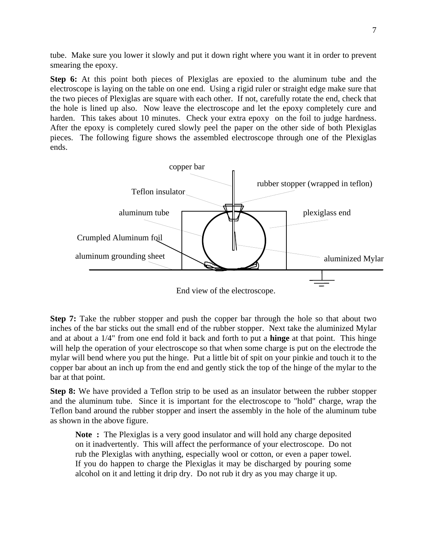tube. Make sure you lower it slowly and put it down right where you want it in order to prevent smearing the epoxy.

**Step 6:** At this point both pieces of Plexiglas are epoxied to the aluminum tube and the electroscope is laying on the table on one end. Using a rigid ruler or straight edge make sure that the two pieces of Plexiglas are square with each other. If not, carefully rotate the end, check that the hole is lined up also. Now leave the electroscope and let the epoxy completely cure and harden. This takes about 10 minutes. Check your extra epoxy on the foil to judge hardness. After the epoxy is completely cured slowly peel the paper on the other side of both Plexiglas pieces. The following figure shows the assembled electroscope through one of the Plexiglas ends.



End view of the electroscope.

**Step 7:** Take the rubber stopper and push the copper bar through the hole so that about two inches of the bar sticks out the small end of the rubber stopper. Next take the aluminized Mylar and at about a 1/4" from one end fold it back and forth to put a **hinge** at that point. This hinge will help the operation of your electroscope so that when some charge is put on the electrode the mylar will bend where you put the hinge. Put a little bit of spit on your pinkie and touch it to the copper bar about an inch up from the end and gently stick the top of the hinge of the mylar to the bar at that point.

**Step 8:** We have provided a Teflon strip to be used as an insulator between the rubber stopper and the aluminum tube. Since it is important for the electroscope to "hold" charge, wrap the Teflon band around the rubber stopper and insert the assembly in the hole of the aluminum tube as shown in the above figure.

**Note :** The Plexiglas is a very good insulator and will hold any charge deposited on it inadvertently. This will affect the performance of your electroscope. Do not rub the Plexiglas with anything, especially wool or cotton, or even a paper towel. If you do happen to charge the Plexiglas it may be discharged by pouring some alcohol on it and letting it drip dry. Do not rub it dry as you may charge it up.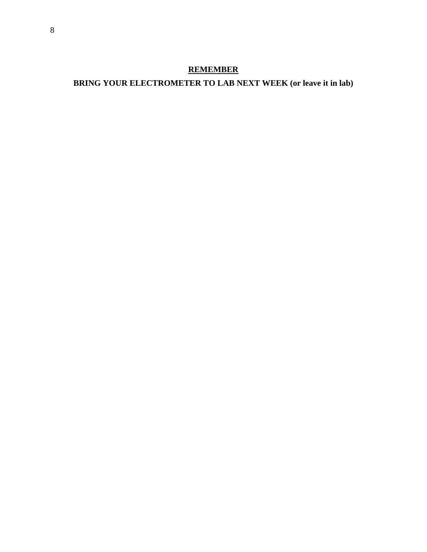## **REMEMBER**

# **BRING YOUR ELECTROMETER TO LAB NEXT WEEK (or leave it in lab)**